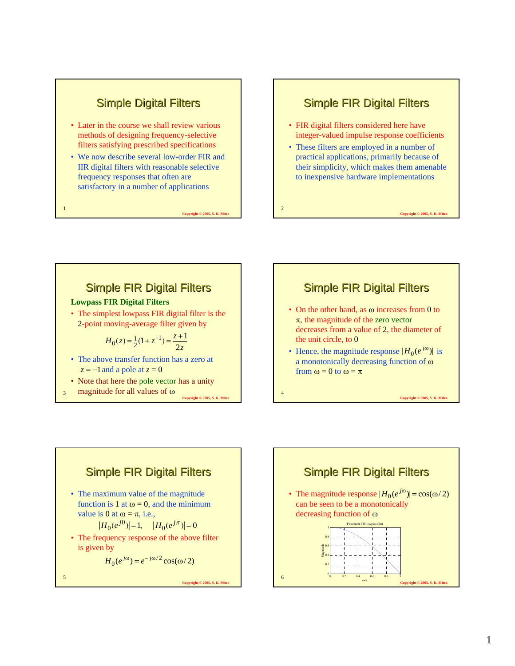# **Simple Digital Filters**

- Later in the course we shall review various methods of designing frequency-selective filters satisfying prescribed specifications
- We now describe several low-order FIR and IIR digital filters with reasonable selective frequency responses that often are satisfactory in a number of applications

**Copyright © 2005, S. K. Mi** 

### **Simple FIR Digital Filters**

- FIR digital filters considered here have integer-valued impulse response coefficients
- These filters are employed in a number of practical applications, primarily because of their simplicity, which makes them amenable to inexpensive hardware implementations

**Copyright © 2005, S. K. Mit** 

**Copyright © 2005, S. K. Mit** 

2

4

## **Simple FIR Digital Filters**

#### **Lowpass FIR Digital Filters**

1

3

• The simplest lowpass FIR digital filter is the 2-point moving-average filter given by

$$
H_0(z) = \frac{1}{2}(1 + z^{-1}) = \frac{z + 1}{2z}
$$

- The above transfer function has a zero at  $z = -1$  and a pole at  $z = 0$
- Note that here the pole vector has a unity magnitude for all values of ω

**Copyright © 2005, S. K. Mitra**



- On the other hand, as ω increases from 0 to  $\pi$ , the magnitude of the zero vector decreases from a value of 2, the diameter of the unit circle, to 0
- Hence, the magnitude response  $|H_0(e^{j\omega})|$  is a monotonically decreasing function of ω from  $\omega = 0$  to  $\omega = \pi$



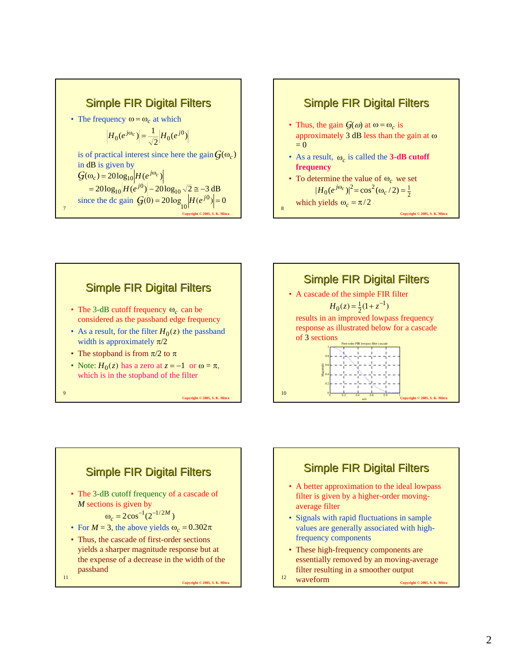



- Thus, the gain  $G(\omega)$  at  $\omega = \omega_c$  is approximately 3 dB less than the gain at  $\omega$  $= 0$
- As a result,  $\omega_c$  is called the **3-dB cutoff frequency**
- To determine the value of  $\omega_c$  we set 2  $|H_0(e^{j\omega_c})|^2 = \cos^2(\omega_c/2) = \frac{1}{2}$

which yields  $\omega_c = \pi/2$ 

**Copyright © 2005, S. K. Mitra**









- A better approximation to the ideal lowpass filter is given by a higher-order movingaverage filter
- Signals with rapid fluctuations in sample values are generally associated with highfrequency components
- These high-frequency components are essentially removed by an moving-average filter resulting in a smoother output
- 12 **Copyright © 2005, S. K. Mitra** waveform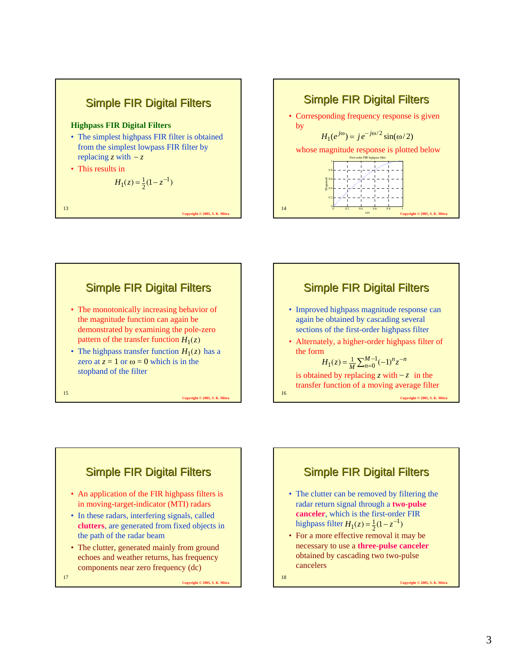







- Improved highpass magnitude response can again be obtained by cascading several sections of the first-order highpass filter
- Alternately, a higher-order highpass filter of the form

$$
H_1(z) = \frac{1}{M} \sum_{n=0}^{M-1} (-1)^n z^{-n}
$$

is obtained by replacing *z* with  $-z$  in the transfer function of a moving average filter

**Copyright © 2005, S. K. Mitra**



**Copyright © 2005, S. K. Mitra**



- The clutter can be removed by filtering the radar return signal through a **two-pulse canceler**, which is the first-order FIR highpass filter  $H_1(z) = \frac{1}{2}(1 - z^{-1})$  $H_1(z) = \frac{1}{2}(1 - z^{-1})$
- For a more effective removal it may be necessary to use a **three-pulse canceler** obtained by cascading two two-pulse cancelers

18

16

**Copyright © 2005, S. K. Mitra**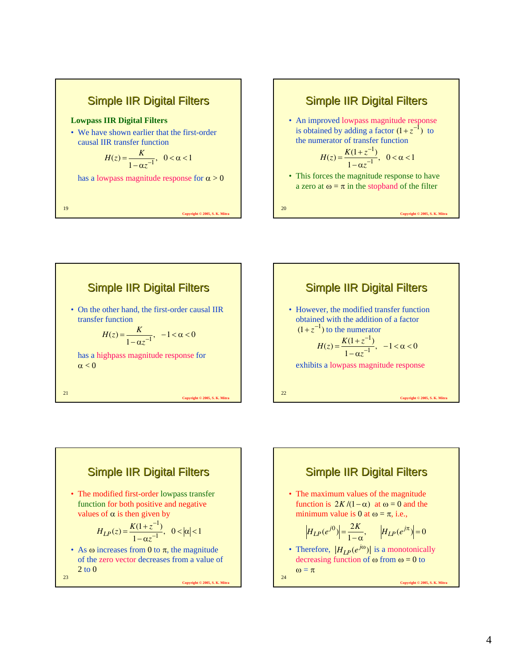

### 20 Simple IIR Digital Filters • An improved lowpass magnitude response is obtained by adding a factor  $(1 + z^{-1})$  to the numerator of transfer function • This forces the magnitude response to have a zero at  $\omega = \pi$  in the stopband of the filter  $, 0 < \alpha < 1$  $(z) = \frac{K(1+z^{-1})}{1-\alpha z^{-1}}$  $=\frac{K(1+z^{-1})}{1-\alpha z^{-1}}, \ \ 0<\alpha<$ *z*  $H(z) = \frac{K(1+z)}{2}$

**Copyright © 2005, S. K. Mitra**







24 **Copyright © 2005, S. K. Mitra Simple IIR Digital Filters** • The maximum values of the magnitude function is  $2K/(1-\alpha)$  at  $\omega = 0$  and the minimum value is 0 at  $\omega = \pi$ , i.e., • Therefore,  $|H_{LP}(e^{j\omega})|$  is a monotonically decreasing function of  $\omega$  from  $\omega = 0$  to  $ω = π$  $H_{LP}(e^{j0}) = \frac{2K}{1-\alpha}, \qquad |H_{LP}(e^{j\pi})| = 0$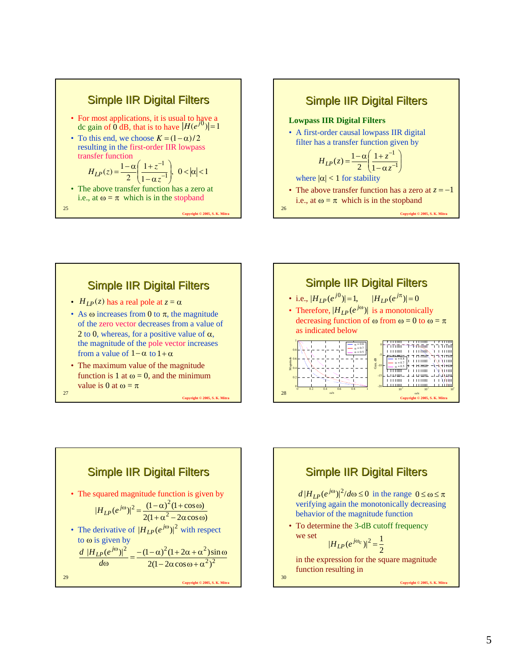



# **Simple IIR Digital Filters**

- $H_{LP}(z)$  has a real pole at  $z = \alpha$
- As  $\omega$  increases from 0 to  $\pi$ , the magnitude of the zero vector decreases from a value of 2 to 0, whereas, for a positive value of  $\alpha$ , the magnitude of the pole vector increases from a value of  $1-\alpha$  to  $1+\alpha$
- The maximum value of the magnitude function is 1 at  $\omega = 0$ , and the minimum value is 0 at  $\omega = \pi$

**Copyright © 2005, S. K. Mitra**

27





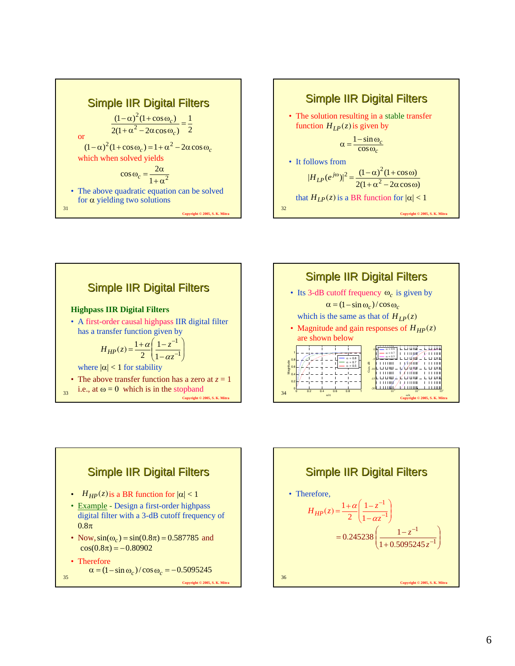









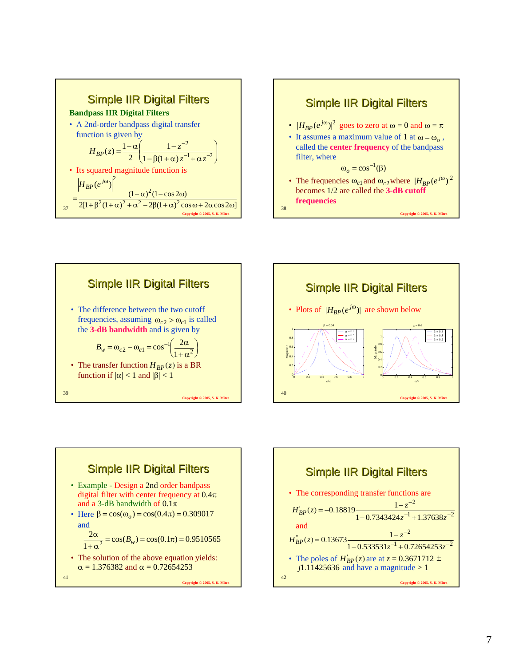









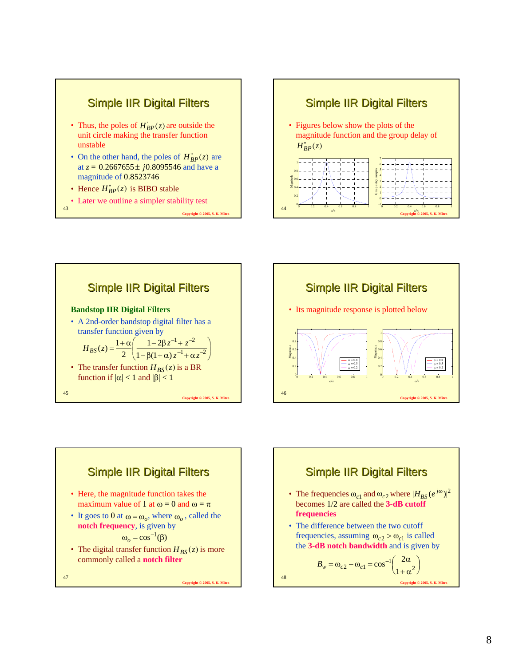









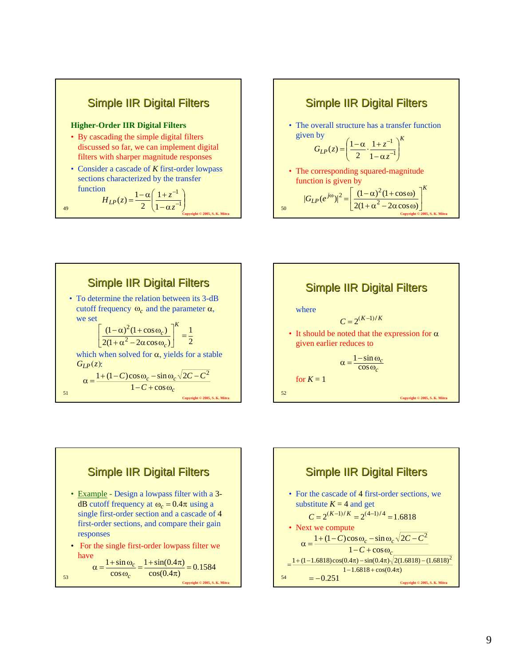